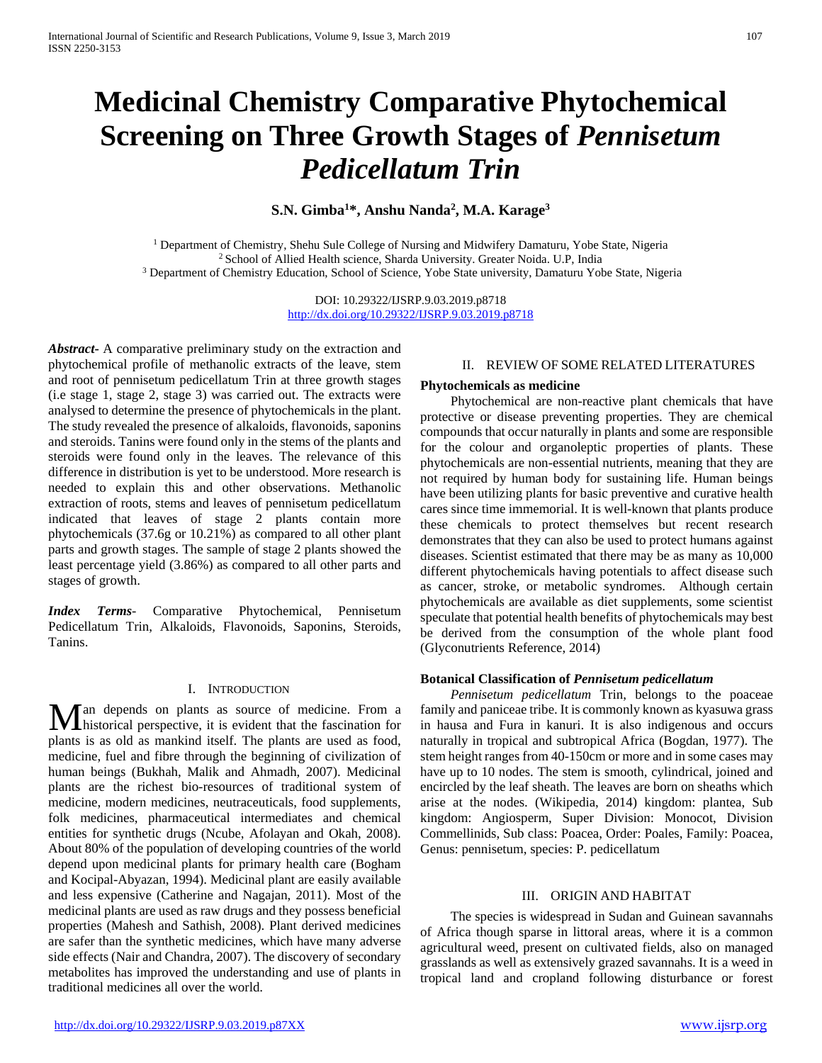# **Medicinal Chemistry Comparative Phytochemical Screening on Three Growth Stages of** *Pennisetum Pedicellatum Trin*

# **S.N. Gimba1 \*, Anshu Nanda2 , M.A. Karage3**

<sup>1</sup> Department of Chemistry, Shehu Sule College of Nursing and Midwifery Damaturu, Yobe State, Nigeria<br><sup>2</sup> School of Allied Health science, Sharda University. Greater Noida. U.P. India <sup>3</sup> Department of Chemistry Education, School of Science, Yobe State university, Damaturu Yobe State, Nigeria

> DOI: 10.29322/IJSRP.9.03.2019.p8718 <http://dx.doi.org/10.29322/IJSRP.9.03.2019.p8718>

*Abstract***-** A comparative preliminary study on the extraction and phytochemical profile of methanolic extracts of the leave, stem and root of pennisetum pedicellatum Trin at three growth stages (i.e stage 1, stage 2, stage 3) was carried out. The extracts were analysed to determine the presence of phytochemicals in the plant. The study revealed the presence of alkaloids, flavonoids, saponins and steroids. Tanins were found only in the stems of the plants and steroids were found only in the leaves. The relevance of this difference in distribution is yet to be understood. More research is needed to explain this and other observations. Methanolic extraction of roots, stems and leaves of pennisetum pedicellatum indicated that leaves of stage 2 plants contain more phytochemicals (37.6g or 10.21%) as compared to all other plant parts and growth stages. The sample of stage 2 plants showed the least percentage yield (3.86%) as compared to all other parts and stages of growth.

*Index Terms*- Comparative Phytochemical, Pennisetum Pedicellatum Trin, Alkaloids, Flavonoids, Saponins, Steroids, Tanins.

## I. INTRODUCTION

an depends on plants as source of medicine. From a Man depends on plants as source of medicine. From a historical perspective, it is evident that the fascination for plants is as old as mankind itself. The plants are used as food, medicine, fuel and fibre through the beginning of civilization of human beings (Bukhah, Malik and Ahmadh, 2007). Medicinal plants are the richest bio-resources of traditional system of medicine, modern medicines, neutraceuticals, food supplements, folk medicines, pharmaceutical intermediates and chemical entities for synthetic drugs (Ncube, Afolayan and Okah, 2008). About 80% of the population of developing countries of the world depend upon medicinal plants for primary health care (Bogham and Kocipal-Abyazan, 1994). Medicinal plant are easily available and less expensive (Catherine and Nagajan, 2011). Most of the medicinal plants are used as raw drugs and they possess beneficial properties (Mahesh and Sathish, 2008). Plant derived medicines are safer than the synthetic medicines, which have many adverse side effects (Nair and Chandra, 2007). The discovery of secondary metabolites has improved the understanding and use of plants in traditional medicines all over the world.

#### II. REVIEW OF SOME RELATED LITERATURES

#### **Phytochemicals as medicine**

 Phytochemical are non-reactive plant chemicals that have protective or disease preventing properties. They are chemical compounds that occur naturally in plants and some are responsible for the colour and organoleptic properties of plants. These phytochemicals are non-essential nutrients, meaning that they are not required by human body for sustaining life. Human beings have been utilizing plants for basic preventive and curative health cares since time immemorial. It is well-known that plants produce these chemicals to protect themselves but recent research demonstrates that they can also be used to protect humans against diseases. Scientist estimated that there may be as many as 10,000 different phytochemicals having potentials to affect disease such as cancer, stroke, or metabolic syndromes. Although certain phytochemicals are available as diet supplements, some scientist speculate that potential health benefits of phytochemicals may best be derived from the consumption of the whole plant food (Glyconutrients Reference, 2014)

## **Botanical Classification of** *Pennisetum pedicellatum*

 *Pennisetum pedicellatum* Trin, belongs to the poaceae family and paniceae tribe. It is commonly known as kyasuwa grass in hausa and Fura in kanuri. It is also indigenous and occurs naturally in tropical and subtropical Africa (Bogdan, 1977). The stem height ranges from 40-150cm or more and in some cases may have up to 10 nodes. The stem is smooth, cylindrical, joined and encircled by the leaf sheath. The leaves are born on sheaths which arise at the nodes. (Wikipedia, 2014) kingdom: plantea, Sub kingdom: Angiosperm, Super Division: Monocot, Division Commellinids, Sub class: Poacea, Order: Poales, Family: Poacea, Genus: pennisetum, species: P. pedicellatum

#### III. ORIGIN AND HABITAT

 The species is widespread in Sudan and Guinean savannahs of Africa though sparse in littoral areas, where it is a common agricultural weed, present on cultivated fields, also on managed grasslands as well as extensively grazed savannahs. It is a weed in tropical land and cropland following disturbance or forest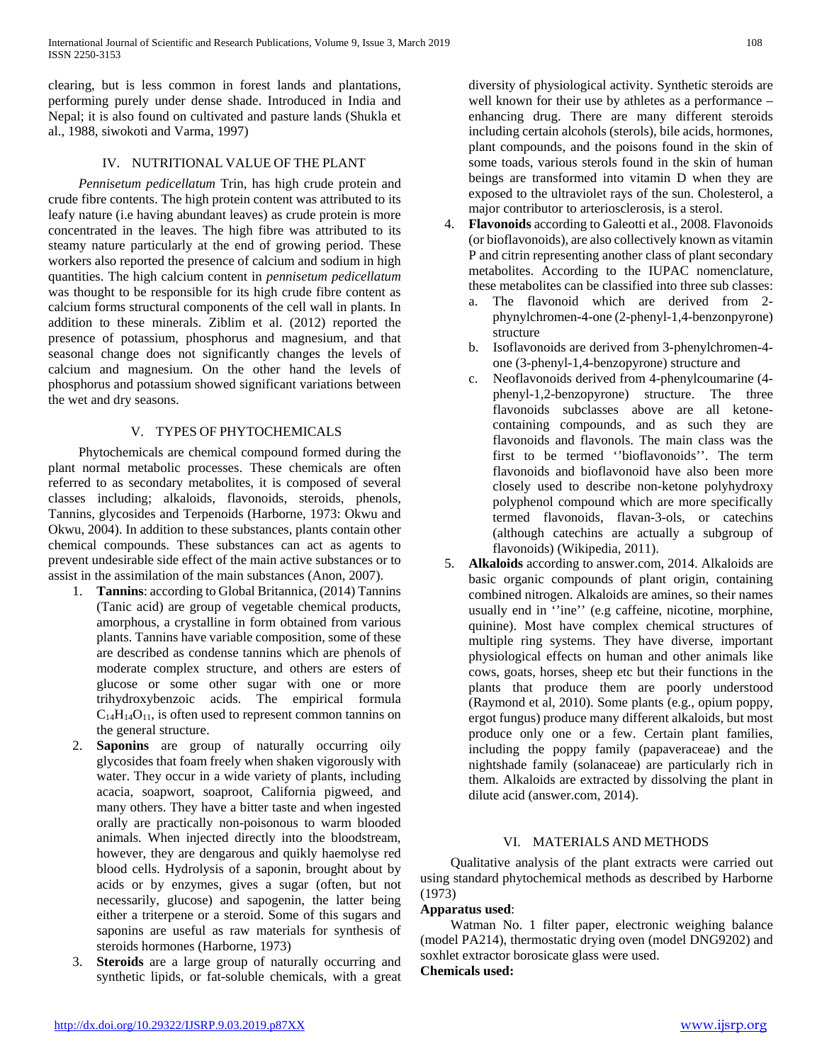clearing, but is less common in forest lands and plantations, performing purely under dense shade. Introduced in India and Nepal; it is also found on cultivated and pasture lands (Shukla et al., 1988, siwokoti and Varma, 1997)

# IV. NUTRITIONAL VALUE OF THE PLANT

 *Pennisetum pedicellatum* Trin, has high crude protein and crude fibre contents. The high protein content was attributed to its leafy nature (i.e having abundant leaves) as crude protein is more concentrated in the leaves. The high fibre was attributed to its steamy nature particularly at the end of growing period. These workers also reported the presence of calcium and sodium in high quantities. The high calcium content in *pennisetum pedicellatum* was thought to be responsible for its high crude fibre content as calcium forms structural components of the cell wall in plants. In addition to these minerals. Ziblim et al. (2012) reported the presence of potassium, phosphorus and magnesium, and that seasonal change does not significantly changes the levels of calcium and magnesium. On the other hand the levels of phosphorus and potassium showed significant variations between the wet and dry seasons.

# V. TYPES OF PHYTOCHEMICALS

 Phytochemicals are chemical compound formed during the plant normal metabolic processes. These chemicals are often referred to as secondary metabolites, it is composed of several classes including; alkaloids, flavonoids, steroids, phenols, Tannins, glycosides and Terpenoids (Harborne, 1973: Okwu and Okwu, 2004). In addition to these substances, plants contain other chemical compounds. These substances can act as agents to prevent undesirable side effect of the main active substances or to assist in the assimilation of the main substances (Anon, 2007).

- 1. **Tannins**: according to Global Britannica, (2014) Tannins (Tanic acid) are group of vegetable chemical products, amorphous, a crystalline in form obtained from various plants. Tannins have variable composition, some of these are described as condense tannins which are phenols of moderate complex structure, and others are esters of glucose or some other sugar with one or more trihydroxybenzoic acids. The empirical formula  $C_{14}H_{14}O_{11}$ , is often used to represent common tannins on the general structure.
- 2. **Saponins** are group of naturally occurring oily glycosides that foam freely when shaken vigorously with water. They occur in a wide variety of plants, including acacia, soapwort, soaproot, California pigweed, and many others. They have a bitter taste and when ingested orally are practically non-poisonous to warm blooded animals. When injected directly into the bloodstream, however, they are dengarous and quikly haemolyse red blood cells. Hydrolysis of a saponin, brought about by acids or by enzymes, gives a sugar (often, but not necessarily, glucose) and sapogenin, the latter being either a triterpene or a steroid. Some of this sugars and saponins are useful as raw materials for synthesis of steroids hormones (Harborne, 1973)
- 3. **Steroids** are a large group of naturally occurring and synthetic lipids, or fat-soluble chemicals, with a great

diversity of physiological activity. Synthetic steroids are well known for their use by athletes as a performance – enhancing drug. There are many different steroids including certain alcohols (sterols), bile acids, hormones, plant compounds, and the poisons found in the skin of some toads, various sterols found in the skin of human beings are transformed into vitamin D when they are exposed to the ultraviolet rays of the sun. Cholesterol, a major contributor to arteriosclerosis, is a sterol.

- 4. **Flavonoids** according to Galeotti et al., 2008. Flavonoids (or bioflavonoids), are also collectively known as vitamin P and citrin representing another class of plant secondary metabolites. According to the IUPAC nomenclature, these metabolites can be classified into three sub classes:
	- a. The flavonoid which are derived from 2 phynylchromen-4-one (2-phenyl-1,4-benzonpyrone) structure
	- b. Isoflavonoids are derived from 3-phenylchromen-4 one (3-phenyl-1,4-benzopyrone) structure and
	- c. Neoflavonoids derived from 4-phenylcoumarine (4 phenyl-1,2-benzopyrone) structure. The three flavonoids subclasses above are all ketonecontaining compounds, and as such they are flavonoids and flavonols. The main class was the first to be termed ''bioflavonoids''. The term flavonoids and bioflavonoid have also been more closely used to describe non-ketone polyhydroxy polyphenol compound which are more specifically termed flavonoids, flavan-3-ols, or catechins (although catechins are actually a subgroup of flavonoids) (Wikipedia, 2011).
- 5. **Alkaloids** according to answer.com, 2014. Alkaloids are basic organic compounds of plant origin, containing combined nitrogen. Alkaloids are amines, so their names usually end in ''ine'' (e.g caffeine, nicotine, morphine, quinine). Most have complex chemical structures of multiple ring systems. They have diverse, important physiological effects on human and other animals like cows, goats, horses, sheep etc but their functions in the plants that produce them are poorly understood (Raymond et al, 2010). Some plants (e.g., opium poppy, ergot fungus) produce many different alkaloids, but most produce only one or a few. Certain plant families, including the poppy family (papaveraceae) and the nightshade family (solanaceae) are particularly rich in them. Alkaloids are extracted by dissolving the plant in dilute acid (answer.com, 2014).

## VI. MATERIALS AND METHODS

 Qualitative analysis of the plant extracts were carried out using standard phytochemical methods as described by Harborne (1973)

## **Apparatus used**:

 Watman No. 1 filter paper, electronic weighing balance (model PA214), thermostatic drying oven (model DNG9202) and soxhlet extractor borosicate glass were used. **Chemicals used:**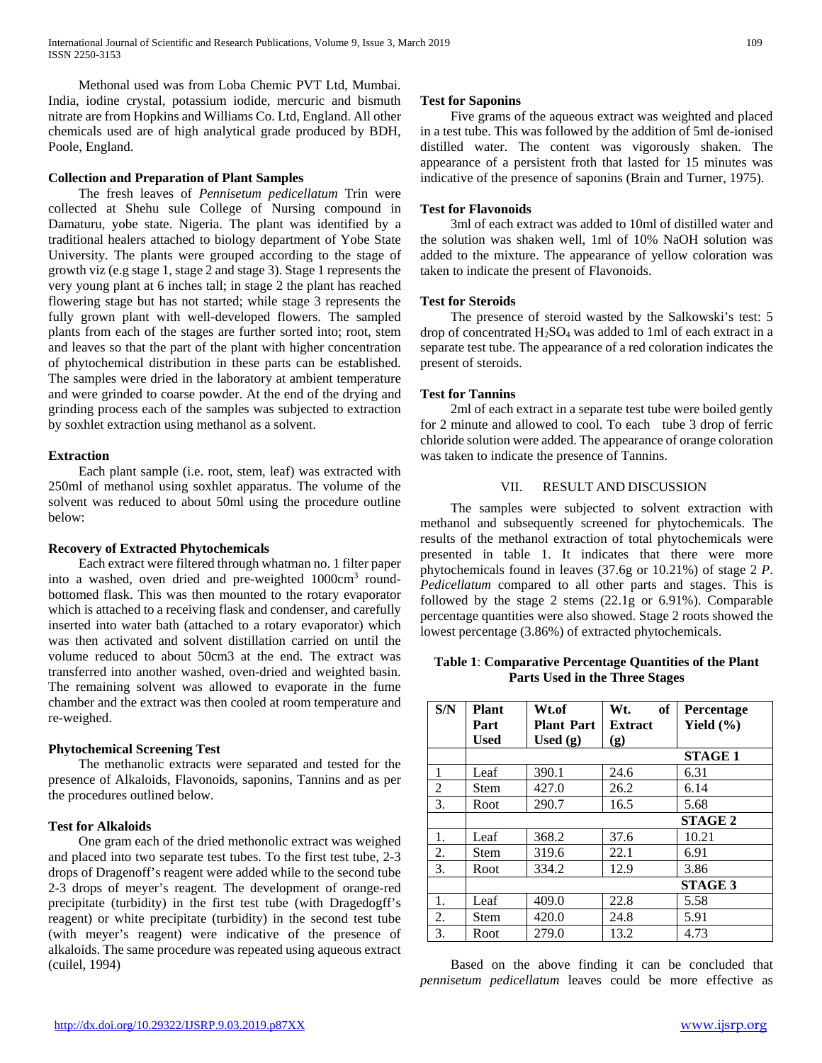Methonal used was from Loba Chemic PVT Ltd, Mumbai. India, iodine crystal, potassium iodide, mercuric and bismuth nitrate are from Hopkins and Williams Co. Ltd, England. All other chemicals used are of high analytical grade produced by BDH, Poole, England.

## **Collection and Preparation of Plant Samples**

 The fresh leaves of *Pennisetum pedicellatum* Trin were collected at Shehu sule College of Nursing compound in Damaturu, yobe state. Nigeria. The plant was identified by a traditional healers attached to biology department of Yobe State University. The plants were grouped according to the stage of growth viz (e.g stage 1, stage 2 and stage 3). Stage 1 represents the very young plant at 6 inches tall; in stage 2 the plant has reached flowering stage but has not started; while stage 3 represents the fully grown plant with well-developed flowers. The sampled plants from each of the stages are further sorted into; root, stem and leaves so that the part of the plant with higher concentration of phytochemical distribution in these parts can be established. The samples were dried in the laboratory at ambient temperature and were grinded to coarse powder. At the end of the drying and grinding process each of the samples was subjected to extraction by soxhlet extraction using methanol as a solvent.

## **Extraction**

 Each plant sample (i.e. root, stem, leaf) was extracted with 250ml of methanol using soxhlet apparatus. The volume of the solvent was reduced to about 50ml using the procedure outline below:

## **Recovery of Extracted Phytochemicals**

 Each extract were filtered through whatman no. 1 filter paper into a washed, oven dried and pre-weighted 1000cm3 roundbottomed flask. This was then mounted to the rotary evaporator which is attached to a receiving flask and condenser, and carefully inserted into water bath (attached to a rotary evaporator) which was then activated and solvent distillation carried on until the volume reduced to about 50cm3 at the end. The extract was transferred into another washed, oven-dried and weighted basin. The remaining solvent was allowed to evaporate in the fume chamber and the extract was then cooled at room temperature and re-weighed.

## **Phytochemical Screening Test**

 The methanolic extracts were separated and tested for the presence of Alkaloids, Flavonoids, saponins, Tannins and as per the procedures outlined below.

## **Test for Alkaloids**

 One gram each of the dried methonolic extract was weighed and placed into two separate test tubes. To the first test tube, 2-3 drops of Dragenoff's reagent were added while to the second tube 2-3 drops of meyer's reagent. The development of orange-red precipitate (turbidity) in the first test tube (with Dragedogff's reagent) or white precipitate (turbidity) in the second test tube (with meyer's reagent) were indicative of the presence of alkaloids. The same procedure was repeated using aqueous extract (cuilel, 1994)

## **Test for Saponins**

 Five grams of the aqueous extract was weighted and placed in a test tube. This was followed by the addition of 5ml de-ionised distilled water. The content was vigorously shaken. The appearance of a persistent froth that lasted for 15 minutes was indicative of the presence of saponins (Brain and Turner, 1975).

# **Test for Flavonoids**

 3ml of each extract was added to 10ml of distilled water and the solution was shaken well, 1ml of 10% NaOH solution was added to the mixture. The appearance of yellow coloration was taken to indicate the present of Flavonoids.

## **Test for Steroids**

 The presence of steroid wasted by the Salkowski's test: 5 drop of concentrated H2SO4 was added to 1ml of each extract in a separate test tube. The appearance of a red coloration indicates the present of steroids.

## **Test for Tannins**

 2ml of each extract in a separate test tube were boiled gently for 2 minute and allowed to cool. To each tube 3 drop of ferric chloride solution were added. The appearance of orange coloration was taken to indicate the presence of Tannins.

# VII. RESULT AND DISCUSSION

 The samples were subjected to solvent extraction with methanol and subsequently screened for phytochemicals. The results of the methanol extraction of total phytochemicals were presented in table 1. It indicates that there were more phytochemicals found in leaves (37.6g or 10.21%) of stage 2 *P*. *Pedicellatum* compared to all other parts and stages. This is followed by the stage 2 stems (22.1g or 6.91%). Comparable percentage quantities were also showed. Stage 2 roots showed the lowest percentage (3.86%) of extracted phytochemicals.

**Table 1**: **Comparative Percentage Quantities of the Plant Parts Used in the Three Stages**

| S/N            | <b>Plant</b>   | Wt.of             | of<br>Wt.      | Percentage     |
|----------------|----------------|-------------------|----------------|----------------|
|                | Part           | <b>Plant Part</b> | <b>Extract</b> | Yield $(\% )$  |
|                | Used           | Used $(g)$        | (g)            |                |
|                |                |                   |                | <b>STAGE 1</b> |
| 1              | Leaf           | 390.1             | 24.6           | 6.31           |
| $\overline{2}$ | Stem           | 427.0             | 26.2           | 6.14           |
| 3.             | Root           | 290.7             | 16.5           | 5.68           |
|                |                |                   |                | <b>STAGE 2</b> |
| 1.             | Leaf           | 368.2             | 37.6           | 10.21          |
| 2.             | Stem           | 319.6             | 22.1           | 6.91           |
| 3.             | Root           | 334.2             | 12.9           | 3.86           |
|                | <b>STAGE 3</b> |                   |                |                |
| 1.             | Leaf           | 409.0             | 22.8           | 5.58           |
| 2.             | Stem           | 420.0             | 24.8           | 5.91           |
| 3.             | Root           | 279.0             | 13.2           | 4.73           |

 Based on the above finding it can be concluded that *pennisetum pedicellatum* leaves could be more effective as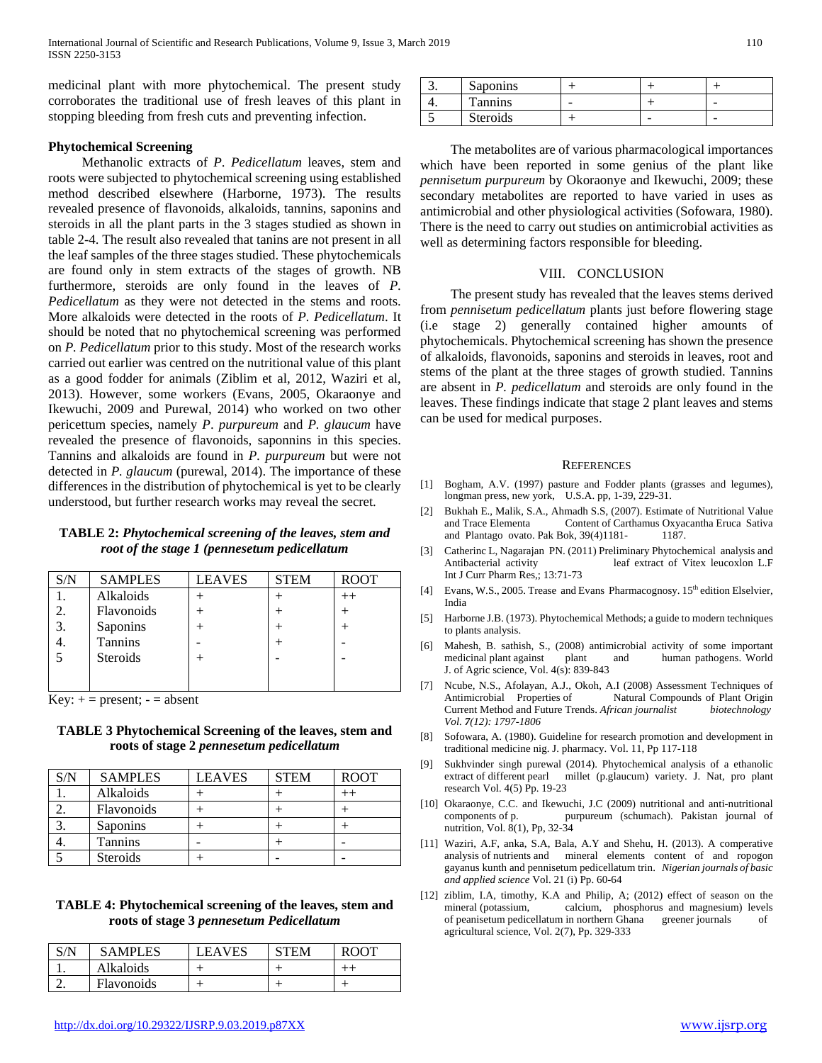medicinal plant with more phytochemical. The present study corroborates the traditional use of fresh leaves of this plant in stopping bleeding from fresh cuts and preventing infection.

#### **Phytochemical Screening**

 Methanolic extracts of *P*. *Pedicellatum* leaves, stem and roots were subjected to phytochemical screening using established method described elsewhere (Harborne, 1973). The results revealed presence of flavonoids, alkaloids, tannins, saponins and steroids in all the plant parts in the 3 stages studied as shown in table 2-4. The result also revealed that tanins are not present in all the leaf samples of the three stages studied. These phytochemicals are found only in stem extracts of the stages of growth. NB furthermore, steroids are only found in the leaves of *P*. *Pedicellatum* as they were not detected in the stems and roots. More alkaloids were detected in the roots of *P. Pedicellatum*. It should be noted that no phytochemical screening was performed on *P. Pedicellatum* prior to this study. Most of the research works carried out earlier was centred on the nutritional value of this plant as a good fodder for animals (Ziblim et al, 2012, Waziri et al, 2013). However, some workers (Evans, 2005, Okaraonye and Ikewuchi, 2009 and Purewal, 2014) who worked on two other pericettum species, namely *P*. *purpureum* and *P. glaucum* have revealed the presence of flavonoids, saponnins in this species. Tannins and alkaloids are found in *P. purpureum* but were not detected in *P. glaucum* (purewal, 2014). The importance of these differences in the distribution of phytochemical is yet to be clearly understood, but further research works may reveal the secret.

#### **TABLE 2:** *Phytochemical screening of the leaves, stem and root of the stage 1 (pennesetum pedicellatum*

| S/N | <b>SAMPLES</b>  | <b>LEAVES</b> | <b>STEM</b> | <b>ROOT</b> |
|-----|-----------------|---------------|-------------|-------------|
|     | Alkaloids       |               |             |             |
| ∍   | Flavonoids      |               |             |             |
| 3.  | Saponins        |               |             |             |
|     | Tannins         |               |             |             |
|     | <b>Steroids</b> |               |             |             |
|     |                 |               |             |             |
|     |                 |               |             |             |

 $Key: += present; - = absent$ 

**TABLE 3 Phytochemical Screening of the leaves, stem and roots of stage 2** *pennesetum pedicellatum*

| S/N | <b>SAMPLES</b> | <b>LEAVES</b> | <b>STEM</b> | <b>ROOT</b> |
|-----|----------------|---------------|-------------|-------------|
|     | Alkaloids      |               |             |             |
|     | Flavonoids     |               |             |             |
|     | Saponins       |               |             |             |
|     | <b>Tannins</b> |               |             |             |
|     | Steroids       |               |             |             |

# **TABLE 4: Phytochemical screening of the leaves, stem and roots of stage 3** *pennesetum Pedicellatum*

| S/N | <b>SAMPLES</b> | EAVES | TEM | <b>ROOT</b> |
|-----|----------------|-------|-----|-------------|
|     | Alkaloids      |       |     |             |
|     | Flavonoids     |       |     |             |

| <b>Saponins</b> |  |   |
|-----------------|--|---|
| Tannins         |  | - |
| Steroids        |  |   |

 The metabolites are of various pharmacological importances which have been reported in some genius of the plant like *pennisetum purpureum* by Okoraonye and Ikewuchi, 2009; these secondary metabolites are reported to have varied in uses as antimicrobial and other physiological activities (Sofowara, 1980). There is the need to carry out studies on antimicrobial activities as well as determining factors responsible for bleeding.

## VIII. CONCLUSION

 The present study has revealed that the leaves stems derived from *pennisetum pedicellatum* plants just before flowering stage (i.e stage 2) generally contained higher amounts of phytochemicals. Phytochemical screening has shown the presence of alkaloids, flavonoids, saponins and steroids in leaves, root and stems of the plant at the three stages of growth studied. Tannins are absent in *P. pedicellatum* and steroids are only found in the leaves. These findings indicate that stage 2 plant leaves and stems can be used for medical purposes.

#### **REFERENCES**

- [1] Bogham, A.V. (1997) pasture and Fodder plants (grasses and legumes), longman press, new york, U.S.A. pp, 1-39, 229-31.
- [2] Bukhah E., Malik, S.A., Ahmadh S.S, (2007). Estimate of Nutritional Value and Trace Elementa Content of Carthamus Oxyacantha Eruca Sativa and Plantago ovato. Pak Bok, 39(4)1181- 1187.
- [3] Catherinc L, Nagarajan PN. (2011) Preliminary Phytochemical analysis and Antibacterial activity leaf extract of Vitex leucoxlon L.F Int J Curr Pharm Res,; 13:71-73
- [4] Evans, W.S., 2005. Trease and Evans Pharmacognosy. 15<sup>th</sup> edition Elselvier, India
- [5] Harborne J.B. (1973). Phytochemical Methods; a guide to modern techniques to plants analysis.
- [6] Mahesh, B. sathish, S., (2008) antimicrobial activity of some important medicinal plant against plant and human pathogens. World J. of Agric science, Vol. 4(s): 839-843
- [7] Ncube, N.S., Afolayan, A.J., Okoh, A.I (2008) Assessment Techniques of Antimicrobial Properties of Natural Compounds of Plant Origin Current Method and Future Trends. *African journalist biotechnology Vol. 7(12): 1797-1806*
- [8] Sofowara, A. (1980). Guideline for research promotion and development in traditional medicine nig. J. pharmacy. Vol. 11, Pp 117-118
- [9] Sukhvinder singh purewal (2014). Phytochemical analysis of a ethanolic extract of different pearl millet (p.glaucum) variety. J. Nat, pro plant research Vol. 4(5) Pp. 19-23
- [10] Okaraonye, C.C. and Ikewuchi, J.C (2009) nutritional and anti-nutritional components of p. purpureum (schumach). Pakistan journal of nutrition, Vol. 8(1), Pp, 32-34
- [11] Waziri, A.F, anka, S.A, Bala, A.Y and Shehu, H. (2013). A comperative analysis of nutrients and mineral elements content of and ropogon gayanus kunth and pennisetum pedicellatum trin. *Nigerian journals of basic and applied science* Vol. 21 (i) Pp. 60-64
- [12] ziblim, I.A, timothy, K.A and Philip, A; (2012) effect of season on the mineral (potassium, calcium, phosphorus and magnesium) levels of peanisetum pedicellatum in northern Ghana greener journals of agricultural science, Vol. 2(7), Pp. 329-333